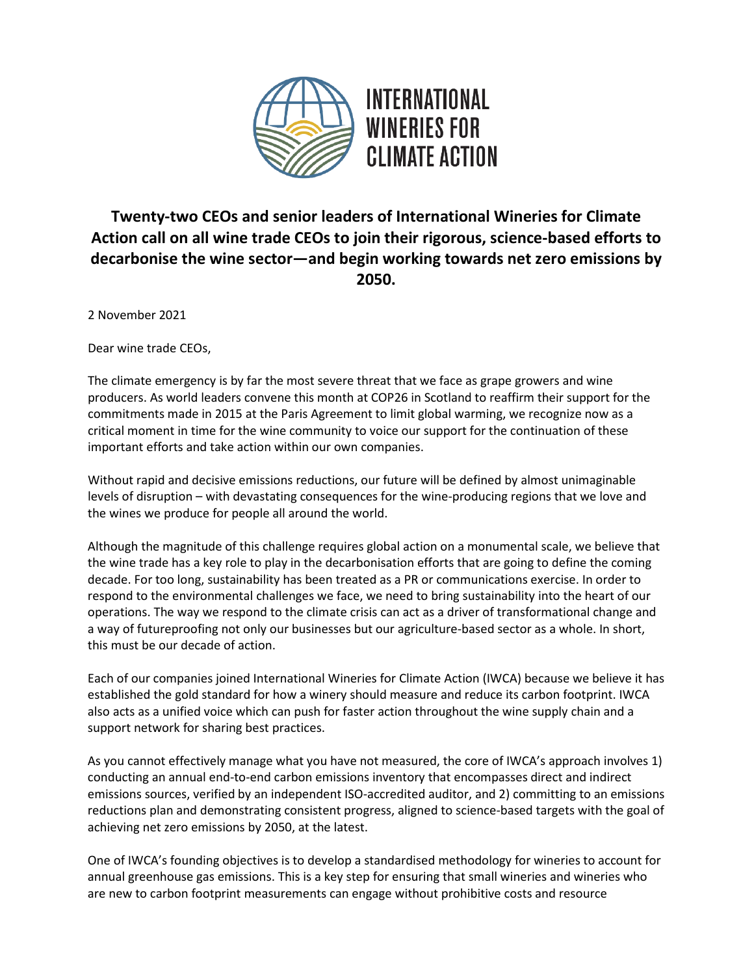

## **Twenty-two CEOs and senior leaders of International Wineries for Climate Action call on all wine trade CEOs to join their rigorous, science-based efforts to decarbonise the wine sector—and begin working towards net zero emissions by 2050.**

2 November 2021

Dear wine trade CEOs,

The climate emergency is by far the most severe threat that we face as grape growers and wine producers. As world leaders convene this month at COP26 in Scotland to reaffirm their support for the commitments made in 2015 at the Paris Agreement to limit global warming, we recognize now as a critical moment in time for the wine community to voice our support for the continuation of these important efforts and take action within our own companies.

Without rapid and decisive emissions reductions, our future will be defined by almost unimaginable levels of disruption – with devastating consequences for the wine-producing regions that we love and the wines we produce for people all around the world.

Although the magnitude of this challenge requires global action on a monumental scale, we believe that the wine trade has a key role to play in the decarbonisation efforts that are going to define the coming decade. For too long, sustainability has been treated as a PR or communications exercise. In order to respond to the environmental challenges we face, we need to bring sustainability into the heart of our operations. The way we respond to the climate crisis can act as a driver of transformational change and a way of futureproofing not only our businesses but our agriculture-based sector as a whole. In short, this must be our decade of action.

Each of our companies joined International Wineries for Climate Action (IWCA) because we believe it has established the gold standard for how a winery should measure and reduce its carbon footprint. IWCA also acts as a unified voice which can push for faster action throughout the wine supply chain and a support network for sharing best practices.

As you cannot effectively manage what you have not measured, the core of IWCA's approach involves 1) conducting an annual end-to-end carbon emissions inventory that encompasses direct and indirect emissions sources, verified by an independent ISO-accredited auditor, and 2) committing to an emissions reductions plan and demonstrating consistent progress, aligned to science-based targets with the goal of achieving net zero emissions by 2050, at the latest.

One of IWCA's founding objectives is to develop a standardised methodology for wineries to account for annual greenhouse gas emissions. This is a key step for ensuring that small wineries and wineries who are new to carbon footprint measurements can engage without prohibitive costs and resource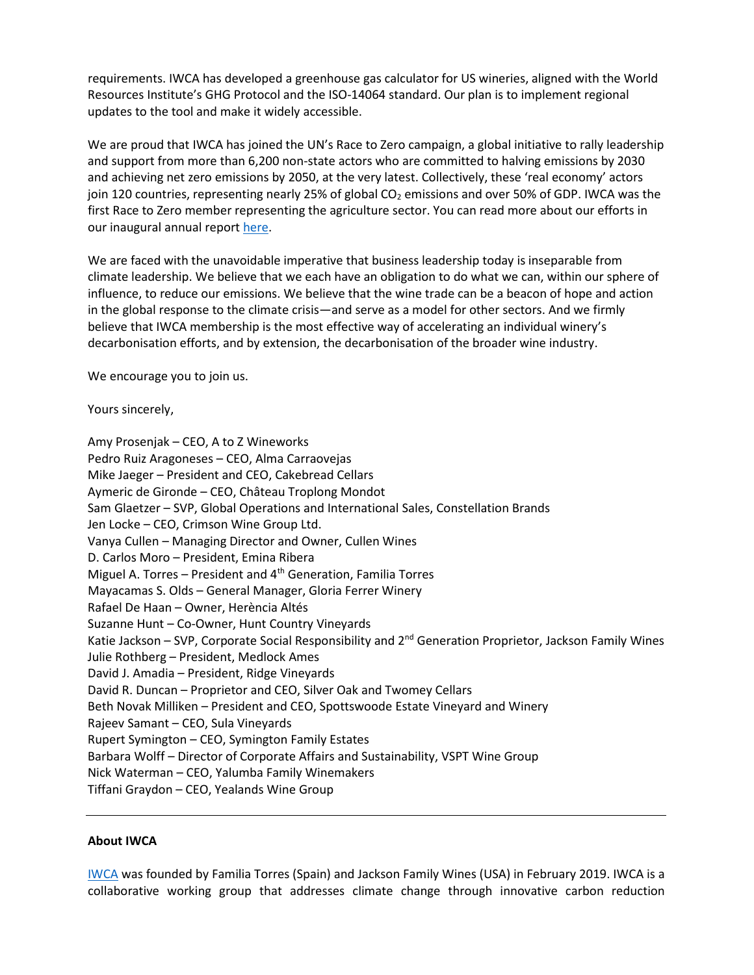requirements. IWCA has developed a greenhouse gas calculator for US wineries, aligned with the World Resources Institute's GHG Protocol and the ISO-14064 standard. Our plan is to implement regional updates to the tool and make it widely accessible.

We are proud that IWCA has joined the UN's Race to Zero campaign, a global initiative to rally leadership and support from more than 6,200 non-state actors who are committed to halving emissions by 2030 and achieving net zero emissions by 2050, at the very latest. Collectively, these 'real economy' actors join 120 countries, representing nearly 25% of global  $CO<sub>2</sub>$  emissions and over 50% of GDP. IWCA was the first Race to Zero member representing the agriculture sector. You can read more about our efforts in our inaugural annual report [here.](https://www.iwcawine.org/post/iwca-releases-inaugural-annual-report)

We are faced with the unavoidable imperative that business leadership today is inseparable from climate leadership. We believe that we each have an obligation to do what we can, within our sphere of influence, to reduce our emissions. We believe that the wine trade can be a beacon of hope and action in the global response to the climate crisis—and serve as a model for other sectors. And we firmly believe that IWCA membership is the most effective way of accelerating an individual winery's decarbonisation efforts, and by extension, the decarbonisation of the broader wine industry.

We encourage you to join us.

Yours sincerely,

Amy Prosenjak – CEO, A to Z Wineworks Pedro Ruiz Aragoneses – CEO, Alma Carraovejas Mike Jaeger – President and CEO, Cakebread Cellars Aymeric de Gironde – CEO, Château Troplong Mondot Sam Glaetzer – SVP, Global Operations and International Sales, Constellation Brands Jen Locke – CEO, Crimson Wine Group Ltd. Vanya Cullen – Managing Director and Owner, Cullen Wines D. Carlos Moro – President, Emina Ribera Miguel A. Torres – President and  $4<sup>th</sup>$  Generation, Familia Torres Mayacamas S. Olds – General Manager, Gloria Ferrer Winery Rafael De Haan – Owner, Herència Altés Suzanne Hunt – Co-Owner, Hunt Country Vineyards Katie Jackson – SVP, Corporate Social Responsibility and 2<sup>nd</sup> Generation Proprietor, Jackson Family Wines Julie Rothberg – President, Medlock Ames David J. Amadia – President, Ridge Vineyards David R. Duncan – Proprietor and CEO, Silver Oak and Twomey Cellars Beth Novak Milliken – President and CEO, Spottswoode Estate Vineyard and Winery Rajeev Samant – CEO, Sula Vineyards Rupert Symington – CEO, Symington Family Estates Barbara Wolff – Director of Corporate Affairs and Sustainability, VSPT Wine Group Nick Waterman – CEO, Yalumba Family Winemakers Tiffani Graydon – CEO, Yealands Wine Group

## **About IWCA**

[IWCA](https://www.iwcawine.org/) was founded by Familia Torres (Spain) and Jackson Family Wines (USA) in February 2019. IWCA is a collaborative working group that addresses climate change through innovative carbon reduction